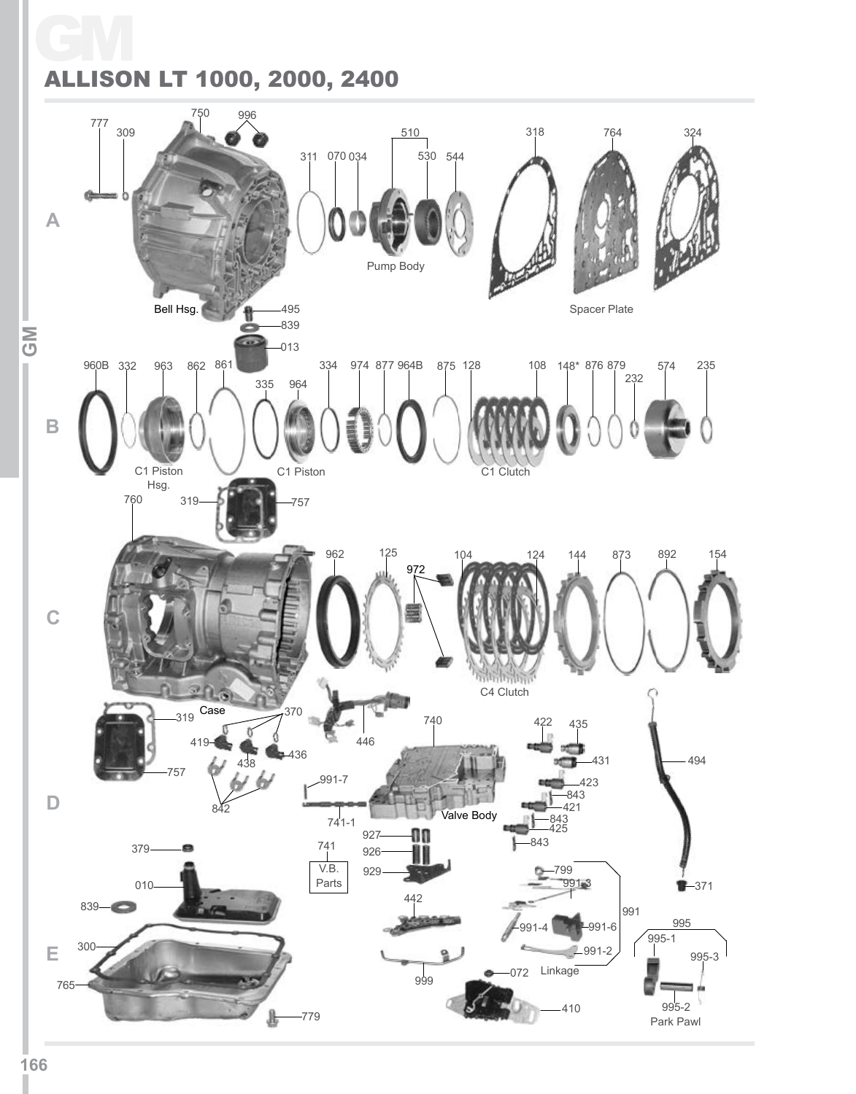## GM ALLISON LT 1000, 2000, 2400

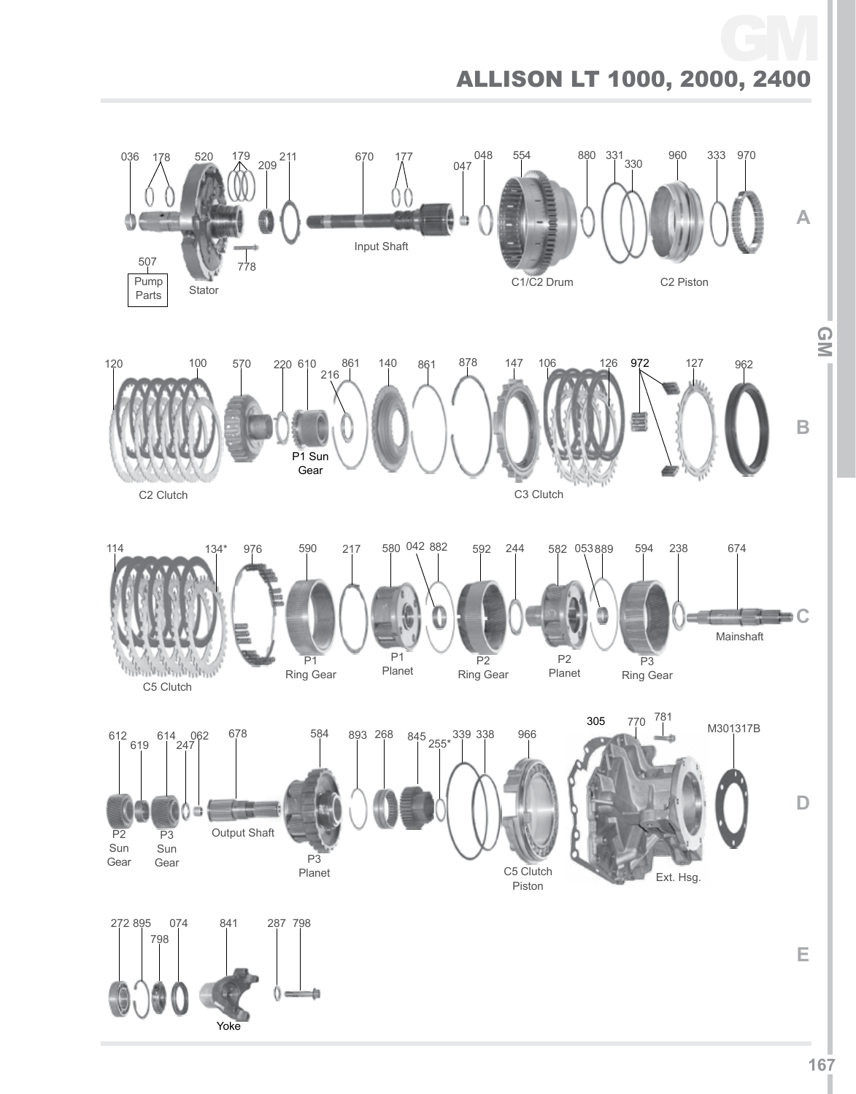## Allison LT 1000, 2000, 2400 GM



L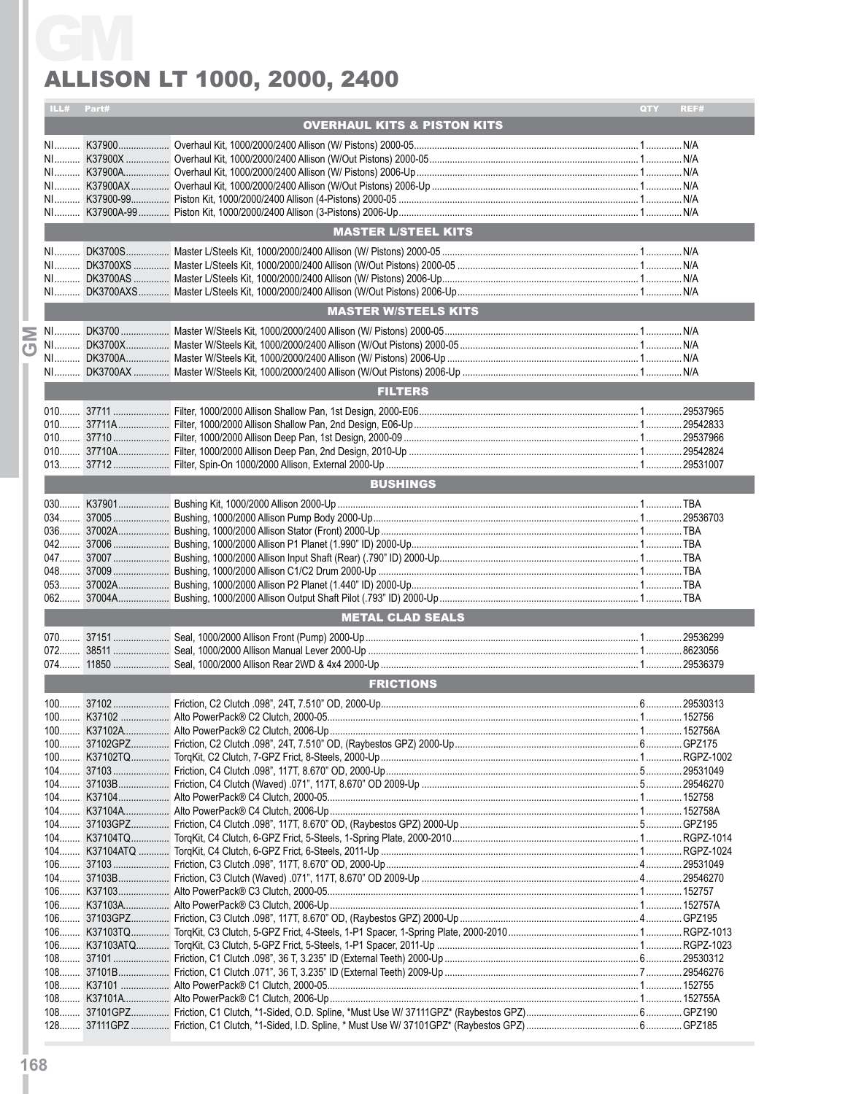## Allison LT 1000, 2000, 2400

|      | ILL# Part# |                                              | QTY<br>REF#       |
|------|------------|----------------------------------------------|-------------------|
|      |            | <b>OVERHAUL KITS &amp; PISTON KITS</b>       |                   |
|      |            |                                              |                   |
|      |            |                                              |                   |
|      |            |                                              |                   |
|      |            |                                              |                   |
|      |            |                                              |                   |
|      |            | <b>MASTER L/STEEL KITS</b>                   |                   |
|      |            |                                              |                   |
|      |            |                                              |                   |
|      |            |                                              |                   |
|      |            |                                              |                   |
|      |            | <b>MASTER W/STEELS KITS</b>                  |                   |
|      |            |                                              |                   |
|      |            |                                              |                   |
|      |            |                                              |                   |
|      |            | <b>FILTERS</b>                               |                   |
|      |            |                                              |                   |
|      |            |                                              |                   |
|      |            |                                              |                   |
|      |            |                                              |                   |
|      |            |                                              |                   |
|      |            | <b>BUSHINGS</b>                              |                   |
|      |            |                                              |                   |
|      |            |                                              |                   |
|      |            |                                              |                   |
|      |            |                                              |                   |
|      |            |                                              |                   |
|      |            |                                              |                   |
|      |            |                                              |                   |
|      |            |                                              |                   |
|      |            | <b>METAL CLAD SEALS</b>                      |                   |
| 070. | 37151      | Seal, 1000/2000 Allison Front (Pump) 2000-Up | 29536299<br>. 1 . |
|      |            |                                              |                   |
|      |            |                                              |                   |
|      |            | <b>FRICTIONS</b>                             |                   |
|      |            |                                              |                   |
|      |            |                                              |                   |
|      |            |                                              |                   |
|      |            |                                              |                   |
|      |            |                                              |                   |
|      |            |                                              |                   |
|      |            |                                              |                   |
|      |            |                                              |                   |
|      |            |                                              |                   |
|      |            |                                              |                   |
|      |            |                                              |                   |
|      |            |                                              |                   |
|      |            |                                              |                   |
|      |            |                                              |                   |
|      |            |                                              |                   |
|      |            |                                              |                   |
|      |            |                                              |                   |
|      |            |                                              |                   |
|      |            |                                              |                   |
|      |            |                                              |                   |
|      |            |                                              |                   |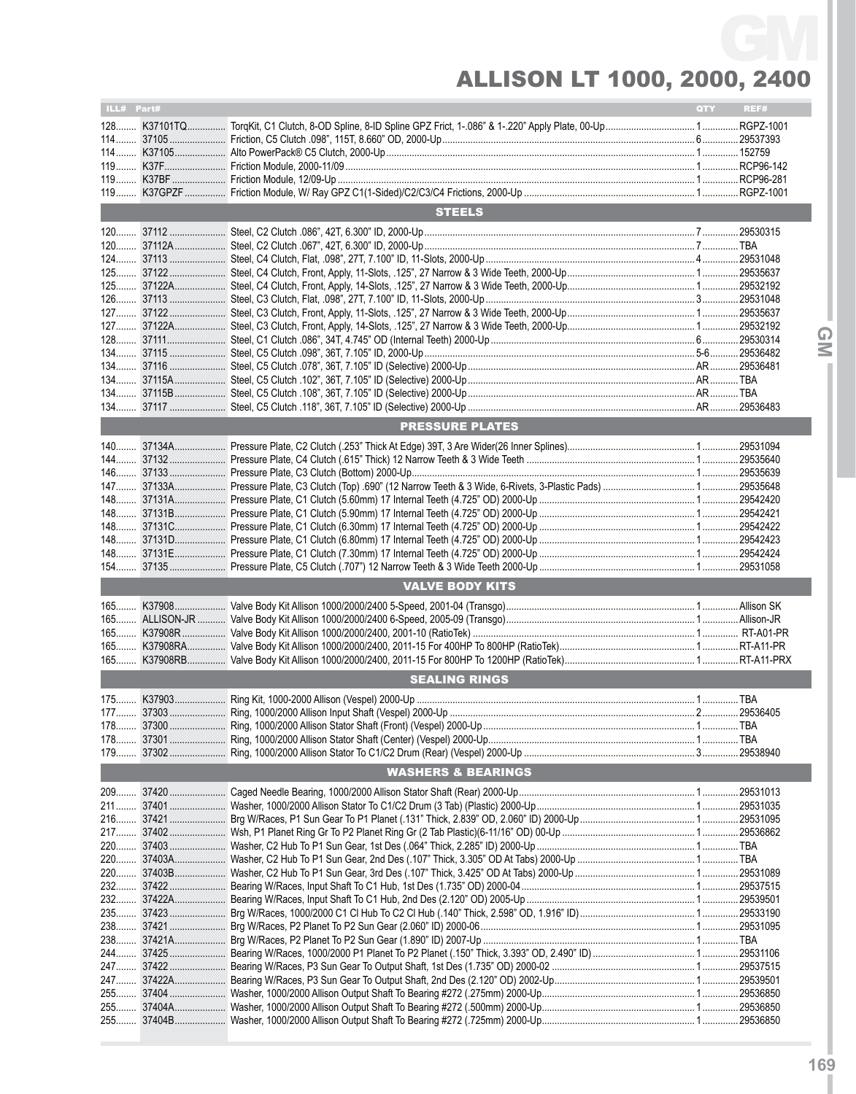## Allison LT 1000, 2000, 2400 GM

| ILL# Part#                    |                      |                        | QTY | REF# |  |  |  |
|-------------------------------|----------------------|------------------------|-----|------|--|--|--|
|                               |                      |                        |     |      |  |  |  |
|                               |                      |                        |     |      |  |  |  |
|                               |                      |                        |     |      |  |  |  |
|                               |                      |                        |     |      |  |  |  |
|                               |                      |                        |     |      |  |  |  |
|                               |                      |                        |     |      |  |  |  |
|                               |                      | <b>STEELS</b>          |     |      |  |  |  |
|                               |                      |                        |     |      |  |  |  |
|                               |                      |                        |     |      |  |  |  |
|                               |                      |                        |     |      |  |  |  |
|                               |                      |                        |     |      |  |  |  |
|                               |                      |                        |     |      |  |  |  |
|                               |                      |                        |     |      |  |  |  |
|                               |                      |                        |     |      |  |  |  |
|                               |                      |                        |     |      |  |  |  |
|                               |                      |                        |     |      |  |  |  |
|                               |                      |                        |     |      |  |  |  |
|                               |                      |                        |     |      |  |  |  |
|                               |                      |                        |     |      |  |  |  |
|                               |                      |                        |     |      |  |  |  |
|                               |                      |                        |     |      |  |  |  |
|                               |                      | <b>PRESSURE PLATES</b> |     |      |  |  |  |
|                               |                      |                        |     |      |  |  |  |
|                               |                      |                        |     |      |  |  |  |
|                               |                      |                        |     |      |  |  |  |
|                               |                      |                        |     |      |  |  |  |
|                               |                      |                        |     |      |  |  |  |
|                               |                      |                        |     |      |  |  |  |
|                               |                      |                        |     |      |  |  |  |
|                               |                      |                        |     |      |  |  |  |
|                               |                      |                        |     |      |  |  |  |
|                               |                      | <b>VALVE BODY KITS</b> |     |      |  |  |  |
|                               |                      |                        |     |      |  |  |  |
|                               |                      |                        |     |      |  |  |  |
|                               |                      |                        |     |      |  |  |  |
|                               |                      |                        |     |      |  |  |  |
|                               |                      |                        |     |      |  |  |  |
|                               |                      |                        |     |      |  |  |  |
|                               | <b>SEALING RINGS</b> |                        |     |      |  |  |  |
|                               |                      |                        |     |      |  |  |  |
|                               |                      |                        |     |      |  |  |  |
|                               |                      |                        |     |      |  |  |  |
|                               |                      |                        |     |      |  |  |  |
|                               |                      |                        |     |      |  |  |  |
| <b>WASHERS &amp; BEARINGS</b> |                      |                        |     |      |  |  |  |
|                               |                      |                        |     |      |  |  |  |
|                               |                      |                        |     |      |  |  |  |
|                               |                      |                        |     |      |  |  |  |
|                               |                      |                        |     |      |  |  |  |
|                               |                      |                        |     |      |  |  |  |
|                               |                      |                        |     |      |  |  |  |
|                               |                      |                        |     |      |  |  |  |
|                               |                      |                        |     |      |  |  |  |
|                               |                      |                        |     |      |  |  |  |
|                               |                      |                        |     |      |  |  |  |
|                               |                      |                        |     |      |  |  |  |
|                               |                      |                        |     |      |  |  |  |
|                               |                      |                        |     |      |  |  |  |
|                               |                      |                        |     |      |  |  |  |
|                               |                      |                        |     |      |  |  |  |
|                               |                      |                        |     |      |  |  |  |
|                               |                      |                        |     |      |  |  |  |

**IGMI**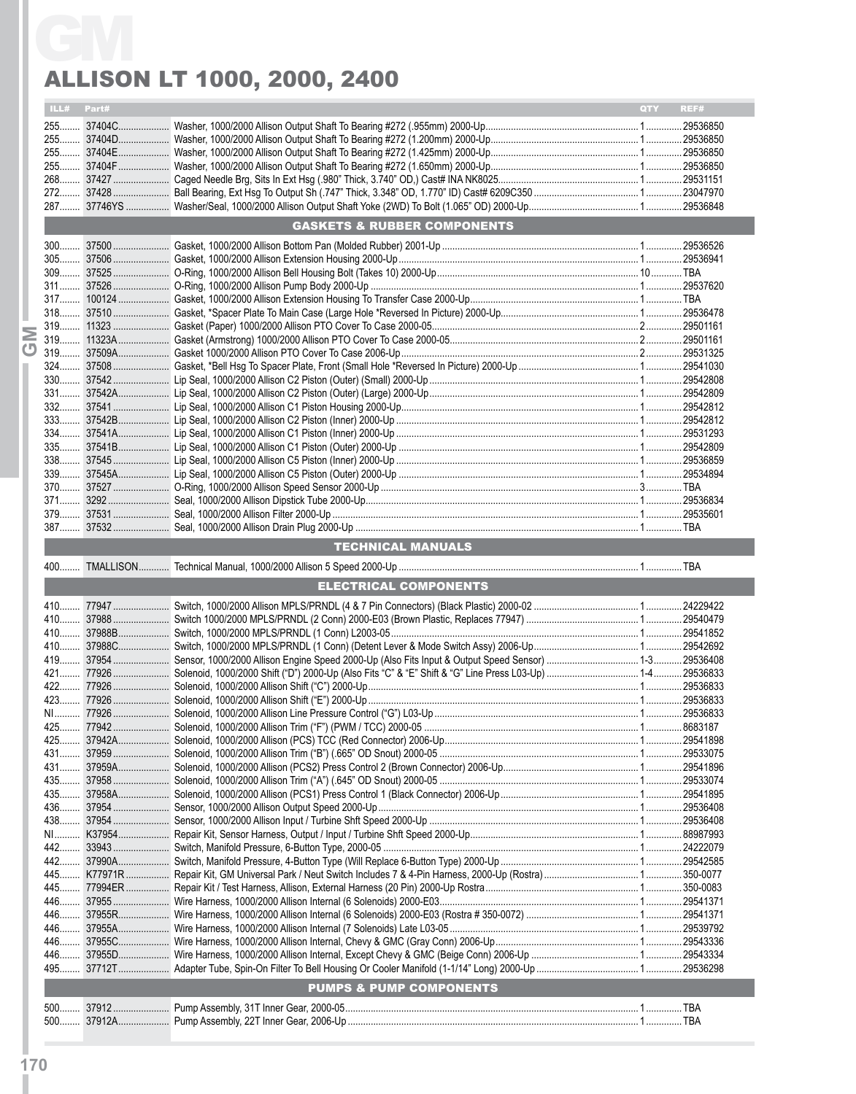## Allison LT 1000, 2000, 2400

| <b>ALLISON LT 1000, 2000, 2400</b> |            |                                        |             |
|------------------------------------|------------|----------------------------------------|-------------|
|                                    | ILL# Part# |                                        | QTY<br>REF# |
|                                    |            |                                        |             |
|                                    |            |                                        |             |
|                                    |            |                                        |             |
|                                    |            |                                        |             |
|                                    |            |                                        |             |
|                                    |            |                                        |             |
|                                    |            | <b>GASKETS &amp; RUBBER COMPONENTS</b> |             |
|                                    |            |                                        |             |
|                                    |            |                                        |             |
|                                    |            |                                        |             |
|                                    |            |                                        |             |
|                                    |            |                                        |             |
|                                    |            |                                        |             |
|                                    |            |                                        |             |
|                                    |            |                                        |             |
|                                    |            |                                        |             |
|                                    |            |                                        |             |
|                                    |            |                                        |             |
|                                    |            |                                        |             |
|                                    |            |                                        |             |
|                                    |            |                                        |             |
|                                    |            |                                        |             |
|                                    |            |                                        |             |
|                                    |            |                                        |             |
|                                    |            |                                        |             |
|                                    |            |                                        |             |
|                                    |            |                                        |             |
|                                    |            |                                        |             |
|                                    |            | TECHNICAL MANUALS                      |             |
|                                    |            |                                        |             |
|                                    |            | <b>ELECTRICAL COMPONENTS</b>           |             |
|                                    |            |                                        |             |
|                                    |            |                                        |             |
|                                    |            |                                        |             |
|                                    |            |                                        |             |
|                                    |            |                                        |             |
|                                    |            |                                        |             |
|                                    |            |                                        |             |
|                                    |            |                                        |             |
|                                    |            |                                        |             |
|                                    |            |                                        |             |
|                                    |            |                                        |             |
|                                    |            |                                        |             |
|                                    |            |                                        |             |
|                                    |            |                                        |             |
|                                    |            |                                        |             |
|                                    |            |                                        |             |
|                                    |            |                                        |             |
|                                    |            |                                        |             |
|                                    |            |                                        |             |
|                                    |            |                                        |             |
|                                    |            |                                        |             |
|                                    |            |                                        |             |
|                                    |            |                                        |             |
|                                    |            |                                        |             |
|                                    |            |                                        |             |
|                                    |            |                                        |             |
|                                    |            |                                        |             |
|                                    |            |                                        |             |
|                                    |            | <b>PUMPS &amp; PUMP COMPONENTS</b>     |             |
|                                    |            |                                        |             |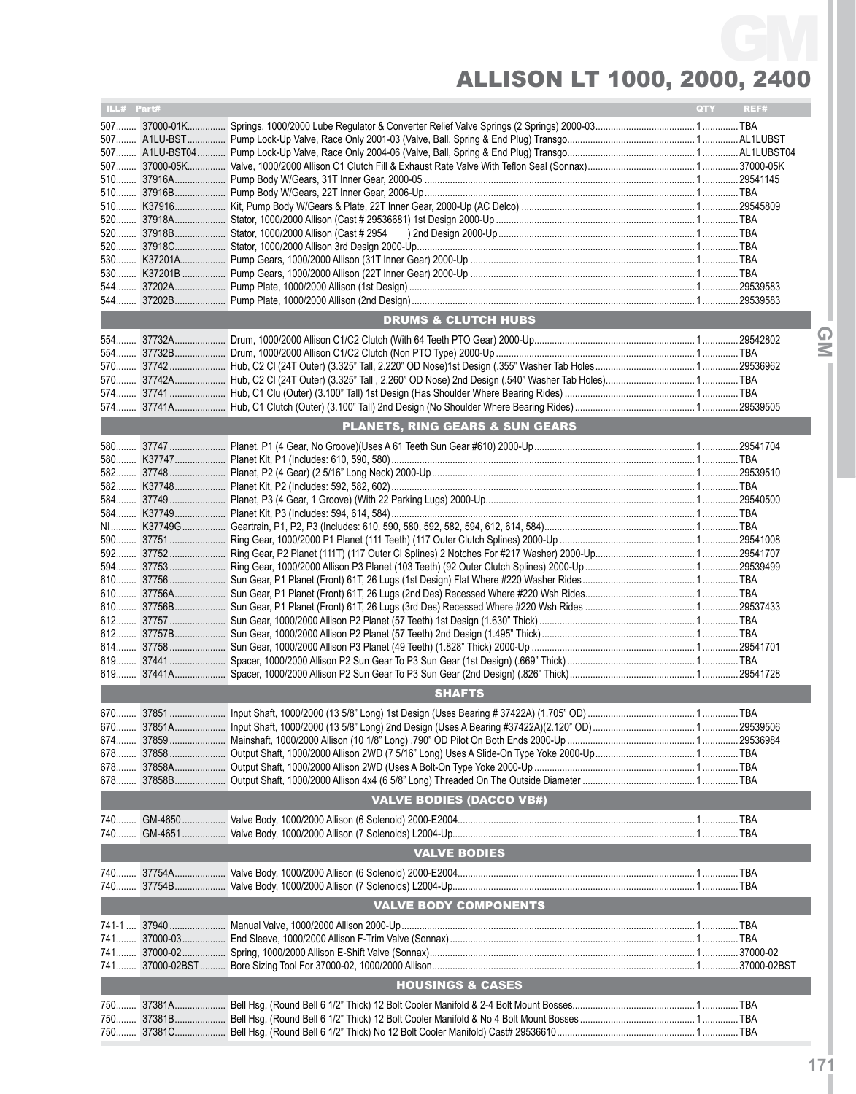## Allison LT 1000, 2000, 2400 GM

| ILL# Part#                      |  |                                            | <b>QTY</b> | REF#   |  |  |  |  |
|---------------------------------|--|--------------------------------------------|------------|--------|--|--|--|--|
|                                 |  |                                            |            |        |  |  |  |  |
|                                 |  |                                            |            |        |  |  |  |  |
|                                 |  |                                            |            |        |  |  |  |  |
|                                 |  |                                            |            |        |  |  |  |  |
|                                 |  |                                            |            |        |  |  |  |  |
|                                 |  |                                            |            |        |  |  |  |  |
|                                 |  |                                            |            |        |  |  |  |  |
|                                 |  |                                            |            |        |  |  |  |  |
|                                 |  |                                            |            |        |  |  |  |  |
|                                 |  |                                            |            |        |  |  |  |  |
|                                 |  |                                            |            |        |  |  |  |  |
|                                 |  |                                            |            |        |  |  |  |  |
|                                 |  |                                            |            |        |  |  |  |  |
|                                 |  | <b>DRUMS &amp; CLUTCH HUBS</b>             |            |        |  |  |  |  |
|                                 |  |                                            |            | Q      |  |  |  |  |
|                                 |  |                                            |            | $\leq$ |  |  |  |  |
|                                 |  |                                            |            |        |  |  |  |  |
|                                 |  |                                            |            |        |  |  |  |  |
|                                 |  |                                            |            |        |  |  |  |  |
|                                 |  |                                            |            |        |  |  |  |  |
|                                 |  |                                            |            |        |  |  |  |  |
|                                 |  | <b>PLANETS, RING GEARS &amp; SUN GEARS</b> |            |        |  |  |  |  |
|                                 |  |                                            |            |        |  |  |  |  |
|                                 |  |                                            |            |        |  |  |  |  |
|                                 |  |                                            |            |        |  |  |  |  |
|                                 |  |                                            |            |        |  |  |  |  |
|                                 |  |                                            |            |        |  |  |  |  |
|                                 |  |                                            |            |        |  |  |  |  |
|                                 |  |                                            |            |        |  |  |  |  |
|                                 |  |                                            |            |        |  |  |  |  |
|                                 |  |                                            |            |        |  |  |  |  |
|                                 |  |                                            |            |        |  |  |  |  |
|                                 |  |                                            |            |        |  |  |  |  |
|                                 |  |                                            |            |        |  |  |  |  |
|                                 |  |                                            |            |        |  |  |  |  |
|                                 |  |                                            |            |        |  |  |  |  |
|                                 |  |                                            |            |        |  |  |  |  |
|                                 |  |                                            |            |        |  |  |  |  |
|                                 |  |                                            |            |        |  |  |  |  |
| <b>SHAFTS</b>                   |  |                                            |            |        |  |  |  |  |
|                                 |  |                                            |            |        |  |  |  |  |
|                                 |  |                                            |            |        |  |  |  |  |
|                                 |  |                                            |            |        |  |  |  |  |
| 678                             |  |                                            |            |        |  |  |  |  |
|                                 |  |                                            |            |        |  |  |  |  |
|                                 |  |                                            |            |        |  |  |  |  |
| <b>VALVE BODIES (DACCO VB#)</b> |  |                                            |            |        |  |  |  |  |
|                                 |  |                                            |            |        |  |  |  |  |
|                                 |  |                                            |            |        |  |  |  |  |
|                                 |  | <b>VALVE BODIES</b>                        |            |        |  |  |  |  |
|                                 |  |                                            |            |        |  |  |  |  |
|                                 |  |                                            |            |        |  |  |  |  |
|                                 |  | <b>VALVE BODY COMPONENTS</b>               |            |        |  |  |  |  |
|                                 |  |                                            |            |        |  |  |  |  |
|                                 |  |                                            |            |        |  |  |  |  |
|                                 |  |                                            |            |        |  |  |  |  |
|                                 |  |                                            |            |        |  |  |  |  |
|                                 |  |                                            |            |        |  |  |  |  |
|                                 |  | <b>HOUSINGS &amp; CASES</b>                |            |        |  |  |  |  |
|                                 |  |                                            |            |        |  |  |  |  |
| 750                             |  |                                            |            |        |  |  |  |  |
| 750                             |  |                                            |            |        |  |  |  |  |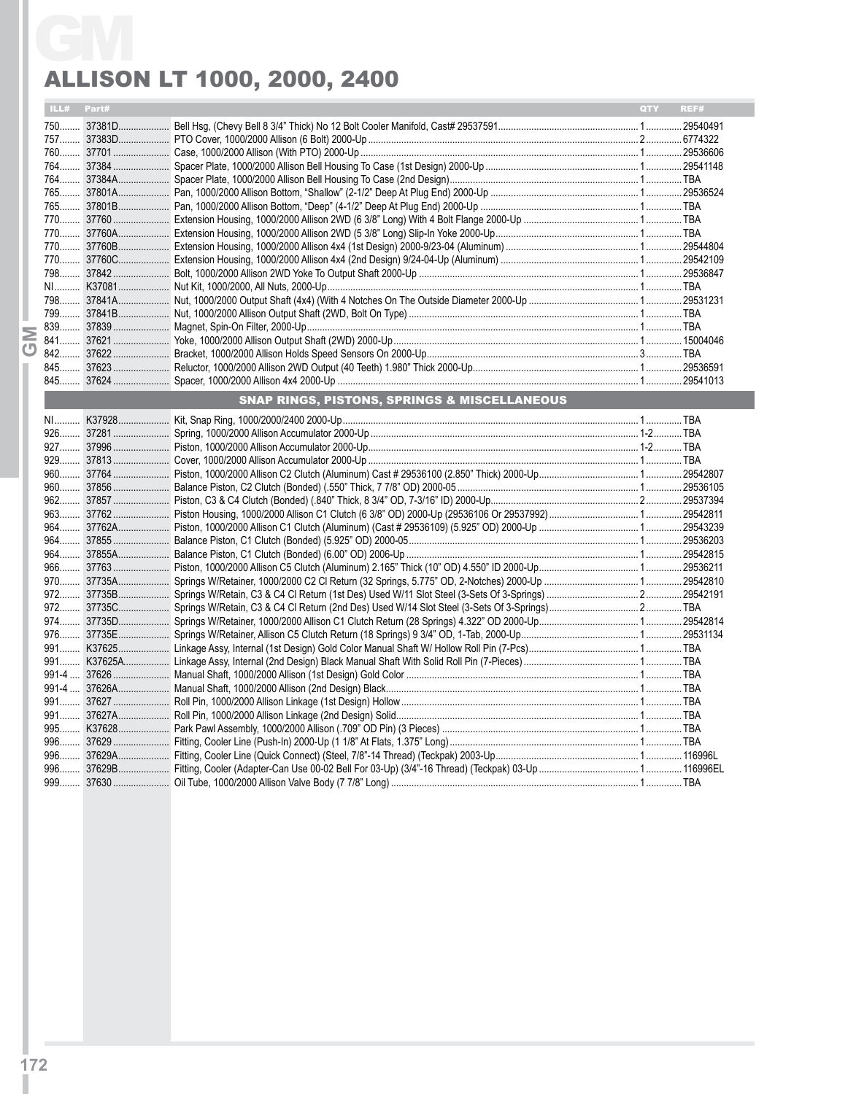# Allison LT 1000, 2000, 2400

|            | <b>ALLISON LT 1000, 2000, 2400</b>                      |     |      |
|------------|---------------------------------------------------------|-----|------|
| ILL# Part# |                                                         | QTY | REF# |
|            |                                                         |     |      |
|            |                                                         |     |      |
|            |                                                         |     |      |
|            |                                                         |     |      |
|            |                                                         |     |      |
|            |                                                         |     |      |
|            |                                                         |     |      |
|            |                                                         |     |      |
|            |                                                         |     |      |
|            |                                                         |     |      |
|            |                                                         |     |      |
|            |                                                         |     |      |
|            |                                                         |     |      |
|            |                                                         |     |      |
|            |                                                         |     |      |
|            |                                                         |     |      |
|            |                                                         |     |      |
|            |                                                         |     |      |
|            |                                                         |     |      |
|            |                                                         |     |      |
|            |                                                         |     |      |
|            | <b>SNAP RINGS, PISTONS, SPRINGS &amp; MISCELLANEOUS</b> |     |      |
|            |                                                         |     |      |
|            |                                                         |     |      |
|            |                                                         |     |      |
|            |                                                         |     |      |
|            |                                                         |     |      |
|            |                                                         |     |      |
|            |                                                         |     |      |
|            |                                                         |     |      |
|            |                                                         |     |      |
|            |                                                         |     |      |
|            |                                                         |     |      |
|            |                                                         |     |      |
|            |                                                         |     |      |
|            |                                                         |     |      |
|            |                                                         |     |      |
|            |                                                         |     |      |
|            |                                                         |     |      |
|            |                                                         |     |      |
|            |                                                         |     |      |
|            |                                                         |     |      |
|            |                                                         |     |      |
|            |                                                         |     |      |
|            |                                                         |     |      |
|            |                                                         |     |      |
|            |                                                         |     |      |
|            |                                                         |     |      |
|            |                                                         |     |      |
|            |                                                         |     |      |